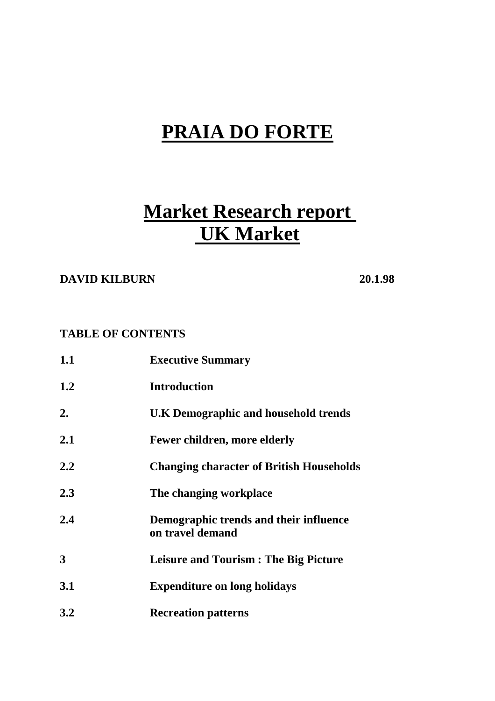# **PRAIA DO FORTE**

# **Market Research report UK Market**

## **DAVID KILBURN 20.1.98**

### **TABLE OF CONTENTS**

| 1.1 | <b>Executive Summary</b>                                   |
|-----|------------------------------------------------------------|
| 1.2 | <b>Introduction</b>                                        |
| 2.  | U.K Demographic and household trends                       |
| 2.1 | <b>Fewer children, more elderly</b>                        |
| 2.2 | <b>Changing character of British Households</b>            |
| 2.3 | The changing workplace                                     |
| 2.4 | Demographic trends and their influence<br>on travel demand |
| 3   | <b>Leisure and Tourism: The Big Picture</b>                |
| 3.1 | <b>Expenditure on long holidays</b>                        |
| 3.2 | <b>Recreation patterns</b>                                 |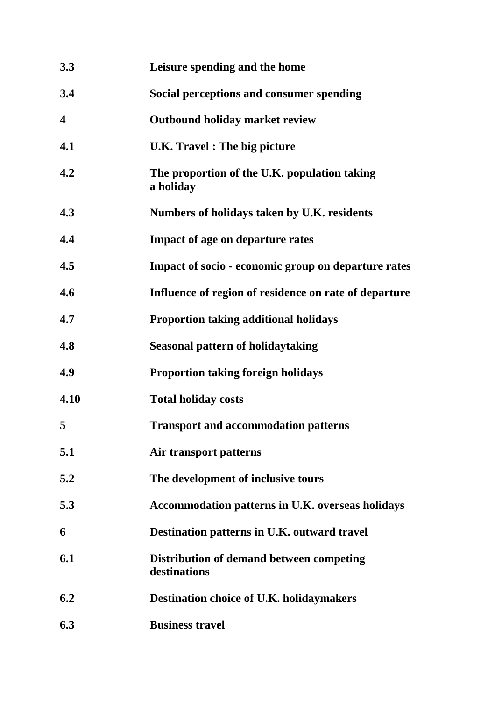| 3.3                     | Leisure spending and the home                             |
|-------------------------|-----------------------------------------------------------|
| 3.4                     | Social perceptions and consumer spending                  |
| $\overline{\mathbf{4}}$ | <b>Outbound holiday market review</b>                     |
| 4.1                     | <b>U.K.</b> Travel: The big picture                       |
| 4.2                     | The proportion of the U.K. population taking<br>a holiday |
| 4.3                     | Numbers of holidays taken by U.K. residents               |
| 4.4                     | <b>Impact of age on departure rates</b>                   |
| 4.5                     | Impact of socio - economic group on departure rates       |
| 4.6                     | Influence of region of residence on rate of departure     |
| 4.7                     | <b>Proportion taking additional holidays</b>              |
| 4.8                     | <b>Seasonal pattern of holidaytaking</b>                  |
| 4.9                     | <b>Proportion taking foreign holidays</b>                 |
| 4.10                    | <b>Total holiday costs</b>                                |
| 5                       | <b>Transport and accommodation patterns</b>               |
| 5.1                     | Air transport patterns                                    |
| 5.2                     | The development of inclusive tours                        |
| 5.3                     | Accommodation patterns in U.K. overseas holidays          |
| 6                       | Destination patterns in U.K. outward travel               |
| 6.1                     | Distribution of demand between competing<br>destinations  |
| 6.2                     | <b>Destination choice of U.K. holidaymakers</b>           |
| 6.3                     | <b>Business travel</b>                                    |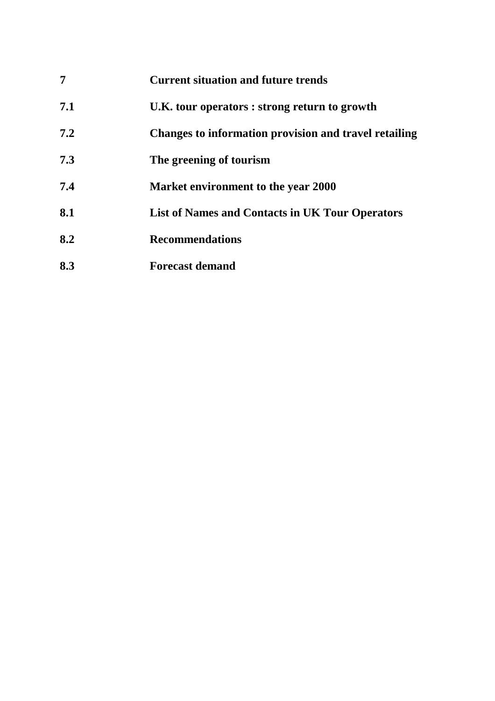|     | <b>Current situation and future trends</b>             |
|-----|--------------------------------------------------------|
| 7.1 | U.K. tour operators : strong return to growth          |
| 7.2 | Changes to information provision and travel retailing  |
| 7.3 | The greening of tourism                                |
| 7.4 | Market environment to the year 2000                    |
| 8.1 | <b>List of Names and Contacts in UK Tour Operators</b> |
| 8.2 | <b>Recommendations</b>                                 |
| 8.3 | <b>Forecast demand</b>                                 |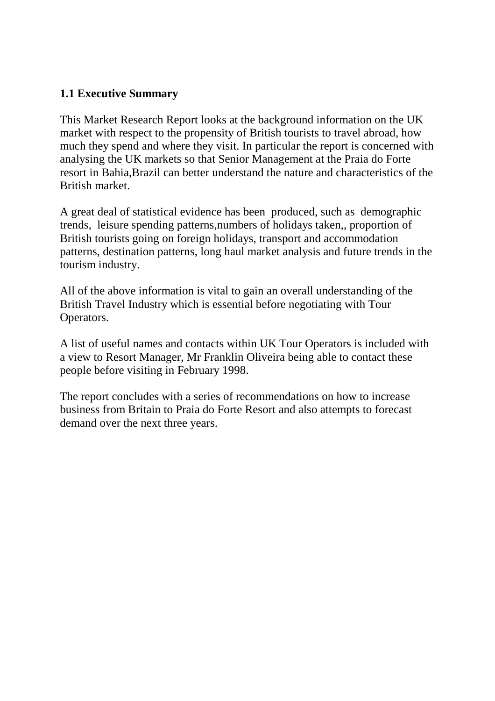## **1.1 Executive Summary**

This Market Research Report looks at the background information on the UK market with respect to the propensity of British tourists to travel abroad, how much they spend and where they visit. In particular the report is concerned with analysing the UK markets so that Senior Management at the Praia do Forte resort in Bahia,Brazil can better understand the nature and characteristics of the British market.

A great deal of statistical evidence has been produced, such as demographic trends, leisure spending patterns,numbers of holidays taken,, proportion of British tourists going on foreign holidays, transport and accommodation patterns, destination patterns, long haul market analysis and future trends in the tourism industry.

All of the above information is vital to gain an overall understanding of the British Travel Industry which is essential before negotiating with Tour Operators.

A list of useful names and contacts within UK Tour Operators is included with a view to Resort Manager, Mr Franklin Oliveira being able to contact these people before visiting in February 1998.

The report concludes with a series of recommendations on how to increase business from Britain to Praia do Forte Resort and also attempts to forecast demand over the next three years.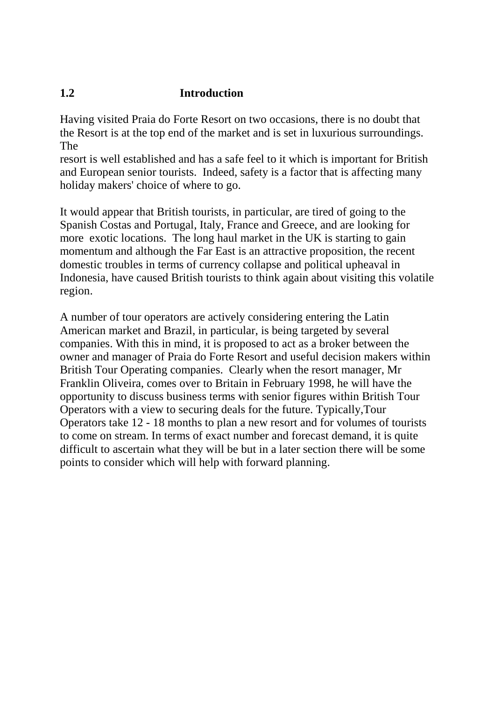## **1.2 Introduction**

Having visited Praia do Forte Resort on two occasions, there is no doubt that the Resort is at the top end of the market and is set in luxurious surroundings. The

resort is well established and has a safe feel to it which is important for British and European senior tourists. Indeed, safety is a factor that is affecting many holiday makers' choice of where to go.

It would appear that British tourists, in particular, are tired of going to the Spanish Costas and Portugal, Italy, France and Greece, and are looking for more exotic locations. The long haul market in the UK is starting to gain momentum and although the Far East is an attractive proposition, the recent domestic troubles in terms of currency collapse and political upheaval in Indonesia, have caused British tourists to think again about visiting this volatile region.

A number of tour operators are actively considering entering the Latin American market and Brazil, in particular, is being targeted by several companies. With this in mind, it is proposed to act as a broker between the owner and manager of Praia do Forte Resort and useful decision makers within British Tour Operating companies. Clearly when the resort manager, Mr Franklin Oliveira, comes over to Britain in February 1998, he will have the opportunity to discuss business terms with senior figures within British Tour Operators with a view to securing deals for the future. Typically,Tour Operators take 12 - 18 months to plan a new resort and for volumes of tourists to come on stream. In terms of exact number and forecast demand, it is quite difficult to ascertain what they will be but in a later section there will be some points to consider which will help with forward planning.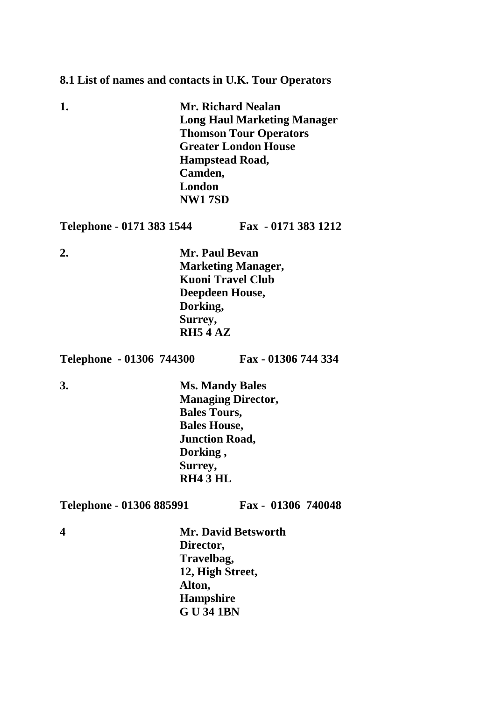#### **8.1 List of names and contacts in U.K. Tour Operators**

| 1. | <b>Mr. Richard Nealan</b>          |
|----|------------------------------------|
|    | <b>Long Haul Marketing Manager</b> |
|    | <b>Thomson Tour Operators</b>      |
|    | <b>Greater London House</b>        |
|    | <b>Hampstead Road,</b>             |
|    | Camden,                            |
|    | London                             |
|    | <b>NW17SD</b>                      |
|    |                                    |

**Telephone - 0171 383 1544 Fax - 0171 383 1212**

**2. Mr. Paul Bevan Marketing Manager, Kuoni Travel Club Deepdeen House, Dorking, Surrey, RH5 4 AZ**

**Telephone - 01306 744300 Fax - 01306 744 334**

**3. Ms. Mandy Bales Managing Director, Bales Tours, Bales House, Junction Road, Dorking , Surrey, RH4 3 HL**

**Telephone - 01306 885991 Fax - 01306 740048**

**4 Mr. David Betsworth Director, Travelbag, 12, High Street, Alton, Hampshire G U 34 1BN**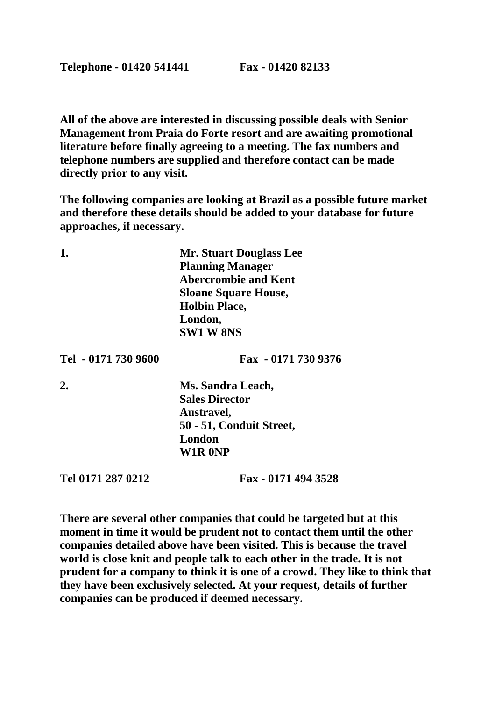**All of the above are interested in discussing possible deals with Senior Management from Praia do Forte resort and are awaiting promotional literature before finally agreeing to a meeting. The fax numbers and telephone numbers are supplied and therefore contact can be made directly prior to any visit.**

**The following companies are looking at Brazil as a possible future market and therefore these details should be added to your database for future approaches, if necessary.**

**1. Mr. Stuart Douglass Lee Planning Manager Abercrombie and Kent Sloane Square House, Holbin Place, London, SW1 W 8NS**

**Tel - 0171 730 9600 Fax - 0171 730 9376**

**2. Ms. Sandra Leach, Sales Director Austravel, 50 - 51, Conduit Street, London W1R 0NP**

**Tel 0171 287 0212 Fax - 0171 494 3528**

**There are several other companies that could be targeted but at this moment in time it would be prudent not to contact them until the other companies detailed above have been visited. This is because the travel world is close knit and people talk to each other in the trade. It is not prudent for a company to think it is one of a crowd. They like to think that they have been exclusively selected. At your request, details of further companies can be produced if deemed necessary.**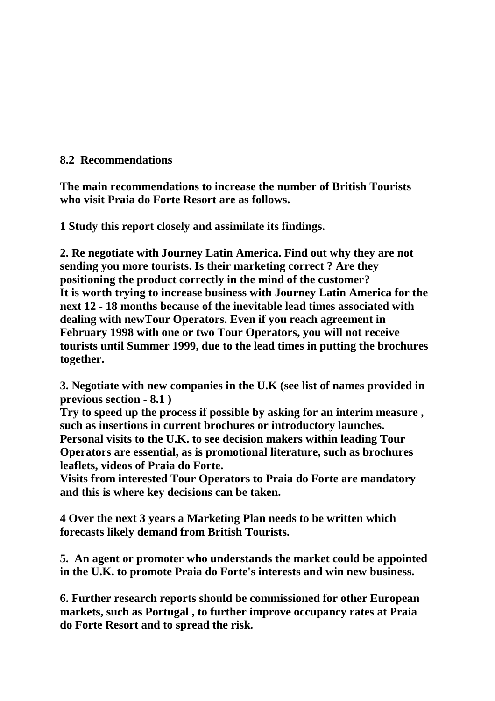### **8.2 Recommendations**

**The main recommendations to increase the number of British Tourists who visit Praia do Forte Resort are as follows.**

**1 Study this report closely and assimilate its findings.**

**2. Re negotiate with Journey Latin America. Find out why they are not sending you more tourists. Is their marketing correct ? Are they positioning the product correctly in the mind of the customer? It is worth trying to increase business with Journey Latin America for the next 12 - 18 months because of the inevitable lead times associated with dealing with newTour Operators. Even if you reach agreement in February 1998 with one or two Tour Operators, you will not receive tourists until Summer 1999, due to the lead times in putting the brochures together.**

**3. Negotiate with new companies in the U.K (see list of names provided in previous section - 8.1 )**

**Try to speed up the process if possible by asking for an interim measure , such as insertions in current brochures or introductory launches. Personal visits to the U.K. to see decision makers within leading Tour Operators are essential, as is promotional literature, such as brochures leaflets, videos of Praia do Forte.** 

**Visits from interested Tour Operators to Praia do Forte are mandatory and this is where key decisions can be taken.**

**4 Over the next 3 years a Marketing Plan needs to be written which forecasts likely demand from British Tourists.**

**5. An agent or promoter who understands the market could be appointed in the U.K. to promote Praia do Forte's interests and win new business.**

**6. Further research reports should be commissioned for other European markets, such as Portugal , to further improve occupancy rates at Praia do Forte Resort and to spread the risk.**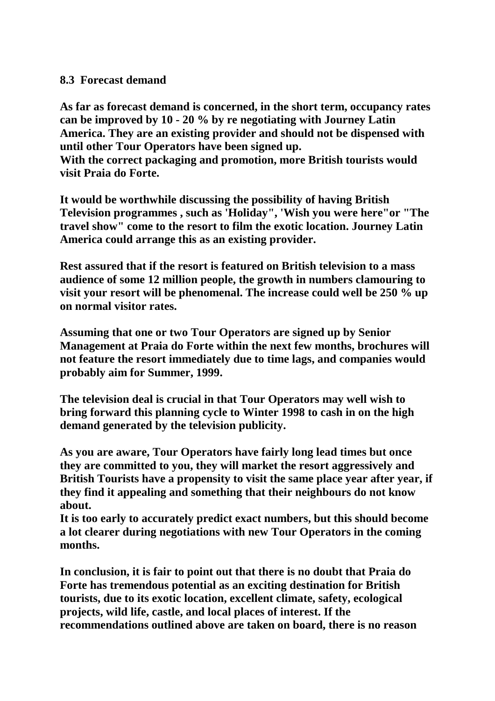#### **8.3 Forecast demand**

**As far as forecast demand is concerned, in the short term, occupancy rates can be improved by 10 - 20 % by re negotiating with Journey Latin America. They are an existing provider and should not be dispensed with until other Tour Operators have been signed up. With the correct packaging and promotion, more British tourists would visit Praia do Forte.**

**It would be worthwhile discussing the possibility of having British Television programmes , such as 'Holiday", 'Wish you were here"or "The travel show" come to the resort to film the exotic location. Journey Latin America could arrange this as an existing provider.**

**Rest assured that if the resort is featured on British television to a mass audience of some 12 million people, the growth in numbers clamouring to visit your resort will be phenomenal. The increase could well be 250 % up on normal visitor rates.**

**Assuming that one or two Tour Operators are signed up by Senior Management at Praia do Forte within the next few months, brochures will not feature the resort immediately due to time lags, and companies would probably aim for Summer, 1999.** 

**The television deal is crucial in that Tour Operators may well wish to bring forward this planning cycle to Winter 1998 to cash in on the high demand generated by the television publicity.**

**As you are aware, Tour Operators have fairly long lead times but once they are committed to you, they will market the resort aggressively and British Tourists have a propensity to visit the same place year after year, if they find it appealing and something that their neighbours do not know about.**

**It is too early to accurately predict exact numbers, but this should become a lot clearer during negotiations with new Tour Operators in the coming months.**

**In conclusion, it is fair to point out that there is no doubt that Praia do Forte has tremendous potential as an exciting destination for British tourists, due to its exotic location, excellent climate, safety, ecological projects, wild life, castle, and local places of interest. If the recommendations outlined above are taken on board, there is no reason**